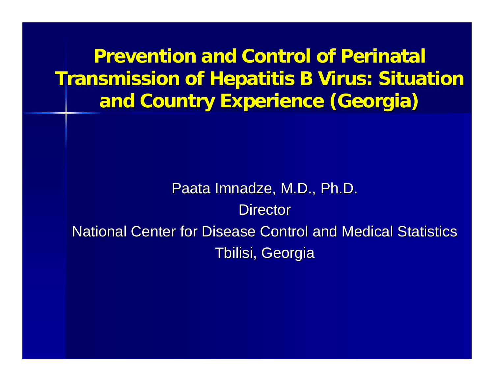**Prevention and Control of Perinatal Transmission of Hepatitis B Virus: Situation and Country Experience (Georgia) and Country Experience (Georgia)**

Paata Imnadze, M.D., Ph.D. **Director** National Center for Disease Control and Medical Statistics Tbilisi, Georgia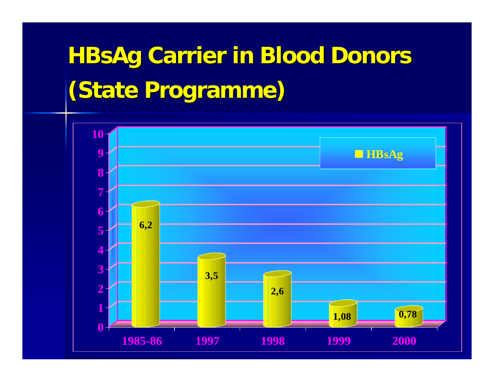# **HBsAg Carrier in Blood Donors (State Programme Programme)**

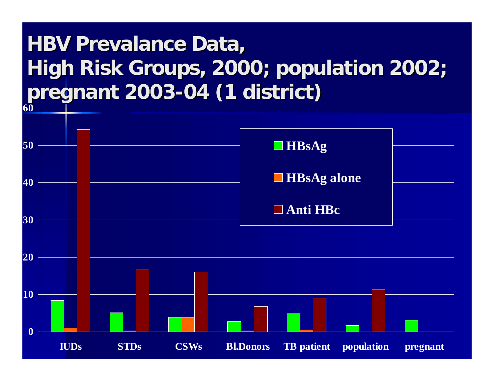#### **HBV Prevalance Prevalance Data, High Risk Groups, 2000; population 2002; pregnant 2003 pregnant 2003-04 (1 district) 04 (1 district)**

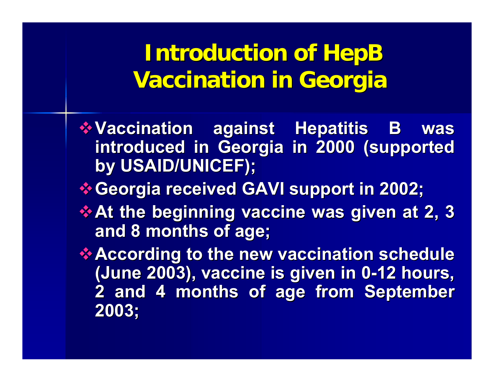**Introduction of HepB Vaccination in Georgia Vaccination in Georgia**

- **Vaccination against Hepatitis B was introduced in Georgia in 2000 (supported by USAID/UNICEF) by USAID/UNICEF);**
- **Georgia received GAVI support in 2002;**
- **At the beginning vaccine was given at 2, 3 and 8 months of age and 8 months of age;**
- **According to the new vaccination schedule (June 2003) (June 2003), vaccine is given in 0 vaccine is given in 0 -12 hours, 12 hours, 2 and 4 months of age from September 2 and 4 months of age from September 2003;**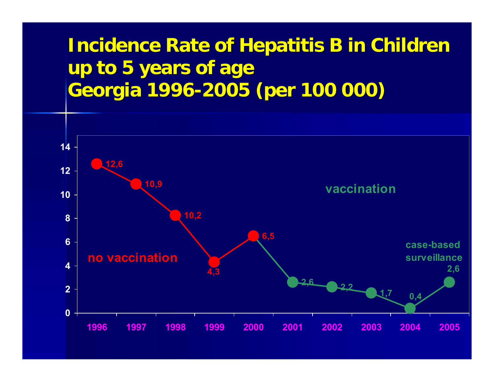#### **Incidence Rate of Hepatitis B in Children up to 5 years of age up to 5 years of age Georgia 1996 Georgia 1996-2005 (per 100 000) 2005 (per 100 000)**

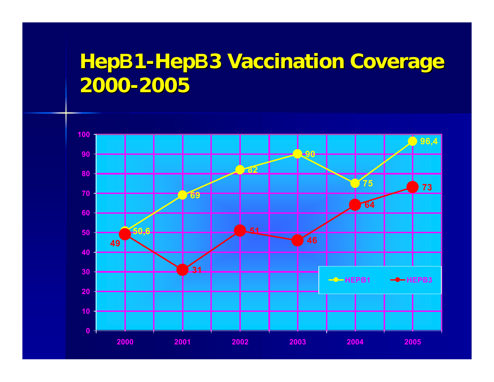#### **HepB1-HepB3 Vaccination Coverage 2000-2005**

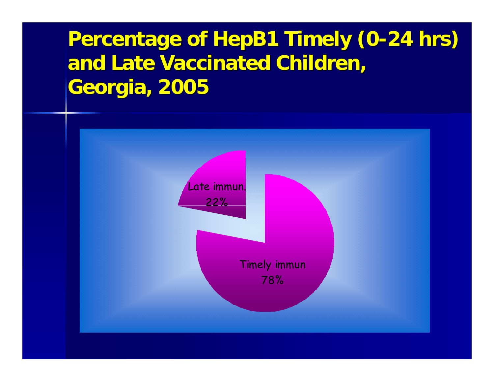#### **Percentage of HepB1 Timely (0-24 hrs) and Late Vaccinated Children, and Late Vaccinated Children, Georgia, 2005 Georgia, 2005**

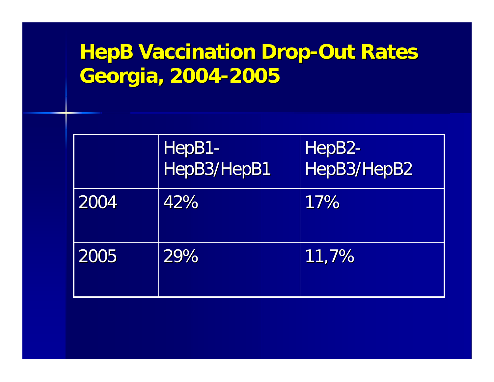### **HepB Vaccination Drop-Out Rates Georgia, 2004 Georgia, 2004-2005**

|      | HepB1-<br>HepB3/HepB1 | HepB2-<br>HepB3/HepB2 |
|------|-----------------------|-----------------------|
| 2004 | 42%                   | 17%                   |
| 2005 | 29%                   | $\ket{11,7\%}$        |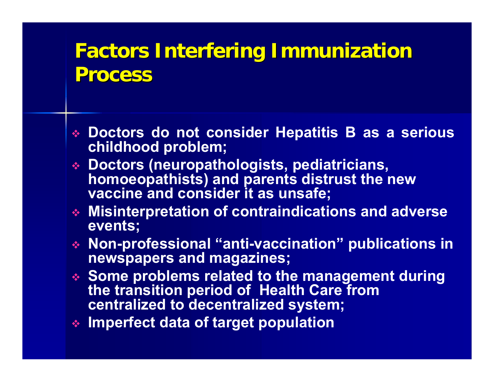#### **Factors Interfering Immunization Process Process**

- **Doctors do not consider Hepatitis B as a serious childhood problem;**
- **Doctors (neuropathologists, pediatricians, homoeopathists) and parents distrust the new vaccine and consider it as unsafe;**
- **Misinterpretation of contraindications and adverse events;**
- **Non-professional "anti-vaccination" publications in newspapers and magazines;**
- **Some problems related to the management during the transition period of Health Care from centralized to decentralized system;**
- **Imperfect data of target population**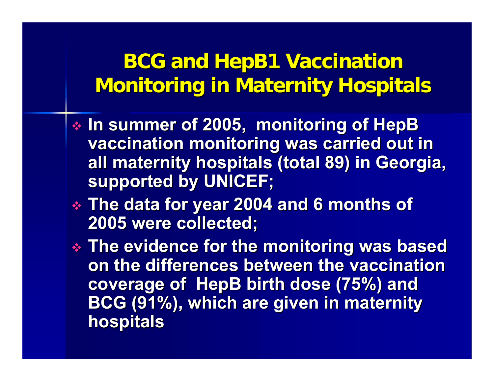#### **BCG and HepB1 Vaccination Monitoring in Maternity Hospitals Monitoring in Maternity Hospitals**

- $\textcolor{red}{\bullet}$  In summer of 2005, monitoring of HepB **vaccination monitoring was carried out in all maternity hospitals (total 89) in Georgia, supported by UNICEF; supported by UNICEF;**
- **The data for year 2004 and 6 months of The data for year 2004 and 6 months of 2005 were collected; 2005 were collected;**
- **The evidence for the monitoring was based The evidence for the monitoring was based on the differences between the vaccination coverage of HepB birth dose (75%) and BCG (91%), which are given in maternity BCG (91%), which are given in maternity hospitals hospitals**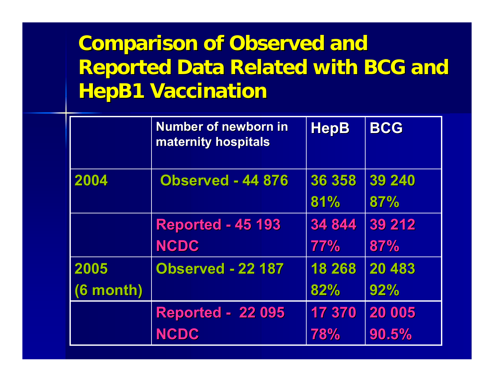#### **Comparison of Observed and Reported Data Related with BCG and HepB1 Vaccination HepB1 Vaccination**

|             | <b>Number of newborn in</b><br>maternity hospitals | <b>HepB</b> | <b>BCG</b> |
|-------------|----------------------------------------------------|-------------|------------|
| 2004        | <b>Observed - 44 876</b>                           | 36 358      | 39 240     |
|             |                                                    | 81%         | 87%        |
|             | <b>Reported - 45 193</b>                           | 34 844      | 39 21 2    |
|             | <b>NCDC</b>                                        | <b>77%</b>  | 87%        |
| 2005        | <b>Observed - 22 187</b>                           | 18 268      | 20 483     |
| $(6$ month) |                                                    | 82%         | 92%        |
|             | <b>Reported - 22 095</b>                           | 17 370      | 20 005     |
|             | <b>NCDC</b>                                        | 78%         | 90.5%      |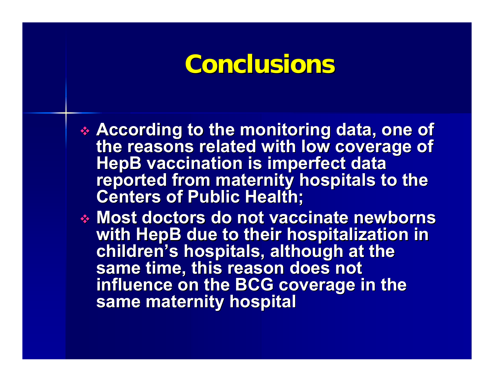## **Conclusions Conclusions**

- According to the monitoring data, one of<br>the reasons related with low coverage of<br>HepB vaccination is imperfect data<br>reported from maternity hospitals to the<br>Centers of Public Health;
- **Most doctors do not vaccinate newborns with HepB due to their hospitalization in** children's hospitals, although at the<br>same time, this reason does not **influence on the BCG coverage in the same maternity hospital**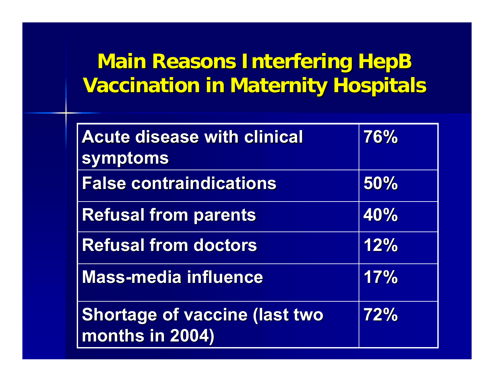#### **Main Reasons Interfering HepB Vaccination in Maternity Hospitals**

| <b>Acute disease with clinical</b><br>symptoms   | 76% |
|--------------------------------------------------|-----|
| <b>False contraindications</b>                   | 50% |
| <b>Refusal from parents</b>                      | 40% |
| <b>Refusal from doctors</b>                      | 12% |
| <b>Mass-media influence</b>                      | 17% |
| Shortage of vaccine (last two<br>months in 2004) | 72% |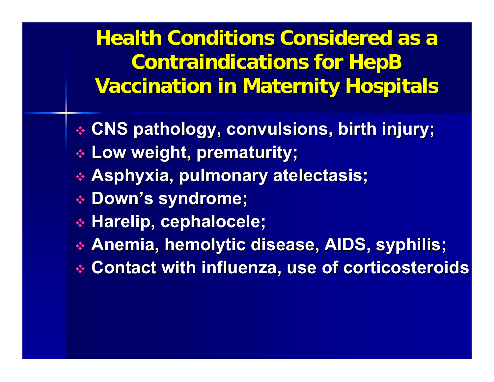**Health Conditions Considered as a Contraindications for HepB Vaccination in Maternity Hospitals Vaccination in Maternity Hospitals**

- **CNS pathology, convulsions, birth injury; CNS pathology, convulsions, birth injury;**
- $\textcolor{red}{\ast}$  Low weight, prematurity;
- $\boldsymbol{\ast}$  Asphyxia, pulmonary atelectasis;
- **Down's syndrome; s syndrome;**
- $\textcolor{red}{\bullet}$  Harelip, cephalocele;
- $\boldsymbol{*}$  Anemia, hemolytic disease, AIDS, syphilis;
- **Contact with influenza, use of corticosteroids Contact with influenza, use of corticosteroids**